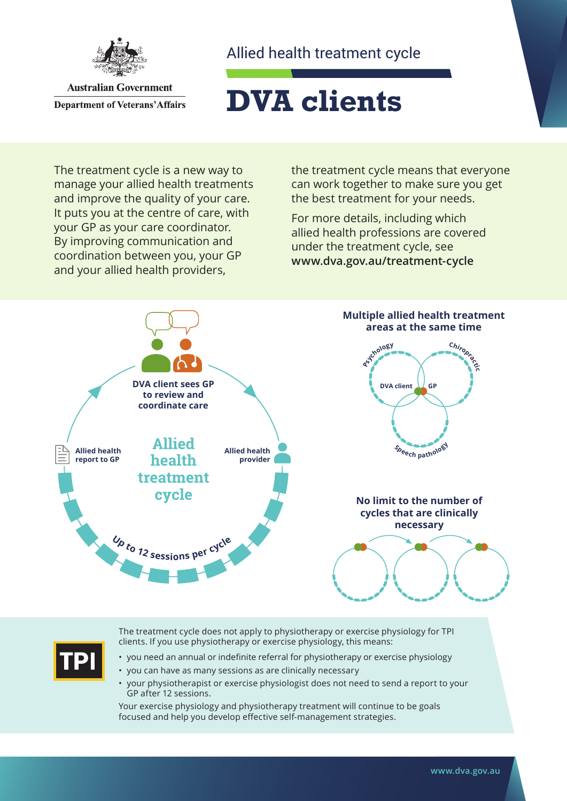

**Australian Government Department of Veterans' Affairs** 

### Allied health treatment cycle

# **DVA clients**

The treatment cycle is a new way to manage your allied health treatments and improve the quality of your care. It puts you at the centre of care, with your GP as your care coordinator. By improving communication and coordination between you, your GP and your allied health providers,

the treatment cycle means that everyone can work together to make sure you get the best treatment for your needs.

For more details, including which allied health professions are covered under the treatment cycle, see **[www.dva.gov.au](http://www.dva.gov.au/treatment-cycle)/treatment-cycle**



$$
\boxed{\mathsf{TPI}}
$$

The treatment cycle does not apply to physiotherapy or exercise physiology for TPI clients. If you use physiotherapy or exercise physiology, this means:

- you need an annual or indefinite referral for physiotherapy or exercise physiology
- you can have as many sessions as are clinically necessary
- your physiotherapist or exercise physiologist does not need to send a report to your GP after 12 sessions.

Your exercise physiology and physiotherapy treatment will continue to be goals focused and help you develop effective self-management strategies.